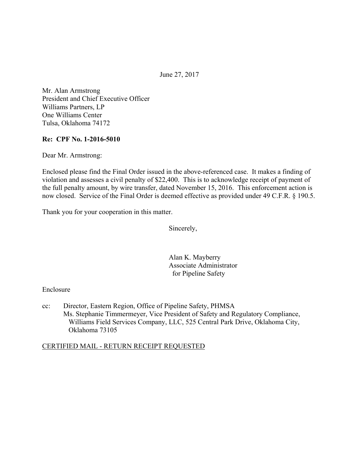June 27, 2017

Mr. Alan Armstrong President and Chief Executive Officer Williams Partners, LP One Williams Center Tulsa, Oklahoma 74172

#### **Re: CPF No. 1-2016-5010**

Dear Mr. Armstrong:

Enclosed please find the Final Order issued in the above-referenced case. It makes a finding of violation and assesses a civil penalty of \$22,400. This is to acknowledge receipt of payment of the full penalty amount, by wire transfer, dated November 15, 2016. This enforcement action is now closed. Service of the Final Order is deemed effective as provided under 49 C.F.R. § 190.5.

Thank you for your cooperation in this matter.

Sincerely,

Alan K. Mayberry Associate Administrator for Pipeline Safety

#### Enclosure

cc: Director, Eastern Region, Office of Pipeline Safety, PHMSA Ms. Stephanie Timmermeyer, Vice President of Safety and Regulatory Compliance, Williams Field Services Company, LLC, 525 Central Park Drive, Oklahoma City, Oklahoma 73105

#### CERTIFIED MAIL - RETURN RECEIPT REQUESTED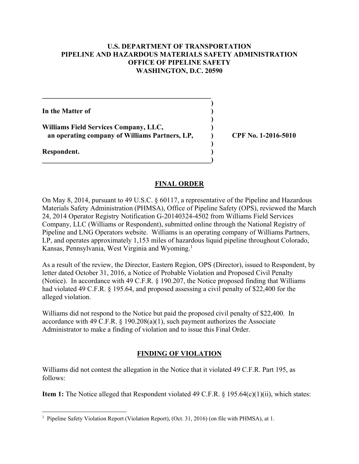### **U.S. DEPARTMENT OF TRANSPORTATION PIPELINE AND HAZARDOUS MATERIALS SAFETY ADMINISTRATION OFFICE OF PIPELINE SAFETY WASHINGTON, D.C. 20590**

In the Matter of *In the Matter of* 

**Williams Field Services Company, LLC, ) an operating company of Williams Partners, LP, ) CPF No. 1-2016-5010**

 $\mathcal{L} = \{ \mathcal{L} \mathcal{L} \mathcal{L} \mathcal{L} \mathcal{L} \mathcal{L} \mathcal{L} \mathcal{L} \mathcal{L} \mathcal{L} \mathcal{L} \mathcal{L} \mathcal{L} \mathcal{L} \mathcal{L} \mathcal{L} \mathcal{L} \mathcal{L} \mathcal{L} \mathcal{L} \mathcal{L} \mathcal{L} \mathcal{L} \mathcal{L} \mathcal{L} \mathcal{L} \mathcal{L} \mathcal{L} \mathcal{L} \mathcal{L} \mathcal{L} \mathcal{L} \mathcal{L} \mathcal{L} \mathcal{L} \$  **)** 

 **)** 

 **)** 

**\_\_\_\_\_\_\_\_\_\_\_\_\_\_\_\_\_\_\_\_\_\_\_\_\_\_\_\_\_\_\_\_\_\_\_\_\_\_\_\_\_\_\_\_\_\_\_\_)** 

**Respondent. )** 

## **FINAL ORDER**

On May 8, 2014, pursuant to 49 U.S.C. § 60117, a representative of the Pipeline and Hazardous Materials Safety Administration (PHMSA), Office of Pipeline Safety (OPS), reviewed the March 24, 2014 Operator Registry Notification G-20140324-4502 from Williams Field Services Company, LLC (Williams or Respondent), submitted online through the National Registry of Pipeline and LNG Operators website. Williams is an operating company of Williams Partners, LP, and operates approximately 1,153 miles of hazardous liquid pipeline throughout Colorado, Kansas, Pennsylvania, West Virginia and Wyoming.<sup>1</sup>

As a result of the review, the Director, Eastern Region, OPS (Director), issued to Respondent, by letter dated October 31, 2016, a Notice of Probable Violation and Proposed Civil Penalty (Notice). In accordance with 49 C.F.R. § 190.207, the Notice proposed finding that Williams had violated 49 C.F.R. § 195.64, and proposed assessing a civil penalty of \$22,400 for the alleged violation.

Williams did not respond to the Notice but paid the proposed civil penalty of \$22,400. In accordance with 49 C.F.R.  $\S$  190.208(a)(1), such payment authorizes the Associate Administrator to make a finding of violation and to issue this Final Order.

# **FINDING OF VIOLATION**

Williams did not contest the allegation in the Notice that it violated 49 C.F.R. Part 195, as follows:

**Item 1:** The Notice alleged that Respondent violated 49 C.F.R. § 195.64(c)(1)(ii), which states:

 $\overline{a}$ <sup>1</sup> Pipeline Safety Violation Report (Violation Report), (Oct. 31, 2016) (on file with PHMSA), at 1.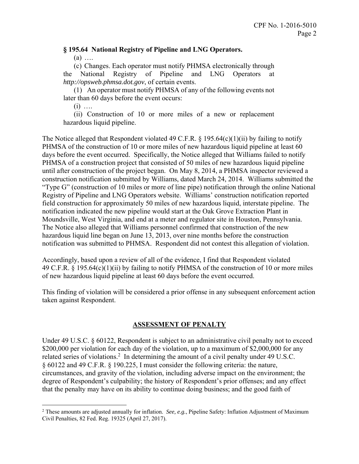### **§ 195.64 National Registry of Pipeline and LNG Operators.**

(a) ….

(c) Changes. Each operator must notify PHMSA electronically through the National Registry of Pipeline and LNG Operators at *http://opsweb.phmsa.dot.gov*, of certain events.

(1) An operator must notify PHMSA of any of the following events not later than 60 days before the event occurs:

 $(i)$  …

 $\overline{a}$ 

(ii) Construction of 10 or more miles of a new or replacement hazardous liquid pipeline.

The Notice alleged that Respondent violated 49 C.F.R.  $\S$  195.64(c)(1)(ii) by failing to notify PHMSA of the construction of 10 or more miles of new hazardous liquid pipeline at least 60 days before the event occurred. Specifically, the Notice alleged that Williams failed to notify PHMSA of a construction project that consisted of 50 miles of new hazardous liquid pipeline until after construction of the project began. On May 8, 2014, a PHMSA inspector reviewed a construction notification submitted by Williams, dated March 24, 2014. Williams submitted the "Type G" (construction of 10 miles or more of line pipe) notification through the online National Registry of Pipeline and LNG Operators website. Williams' construction notification reported field construction for approximately 50 miles of new hazardous liquid, interstate pipeline. The notification indicated the new pipeline would start at the Oak Grove Extraction Plant in Moundsville, West Virginia, and end at a meter and regulator site in Houston, Pennsylvania. The Notice also alleged that Williams personnel confirmed that construction of the new hazardous liquid line began on June 13, 2013, over nine months before the construction notification was submitted to PHMSA. Respondent did not contest this allegation of violation.

Accordingly, based upon a review of all of the evidence, I find that Respondent violated 49 C.F.R. § 195.64(c)(1)(ii) by failing to notify PHMSA of the construction of 10 or more miles of new hazardous liquid pipeline at least 60 days before the event occurred.

This finding of violation will be considered a prior offense in any subsequent enforcement action taken against Respondent.

## **ASSESSMENT OF PENALTY**

Under 49 U.S.C. § 60122, Respondent is subject to an administrative civil penalty not to exceed \$200,000 per violation for each day of the violation, up to a maximum of \$2,000,000 for any related series of violations.<sup>2</sup> In determining the amount of a civil penalty under 49 U.S.C. § 60122 and 49 C.F.R. § 190.225, I must consider the following criteria: the nature, circumstances, and gravity of the violation, including adverse impact on the environment; the degree of Respondent's culpability; the history of Respondent's prior offenses; and any effect that the penalty may have on its ability to continue doing business; and the good faith of

<sup>2</sup> These amounts are adjusted annually for inflation. *See, e.g.*, Pipeline Safety: Inflation Adjustment of Maximum Civil Penalties, 82 Fed. Reg. 19325 (April 27, 2017).